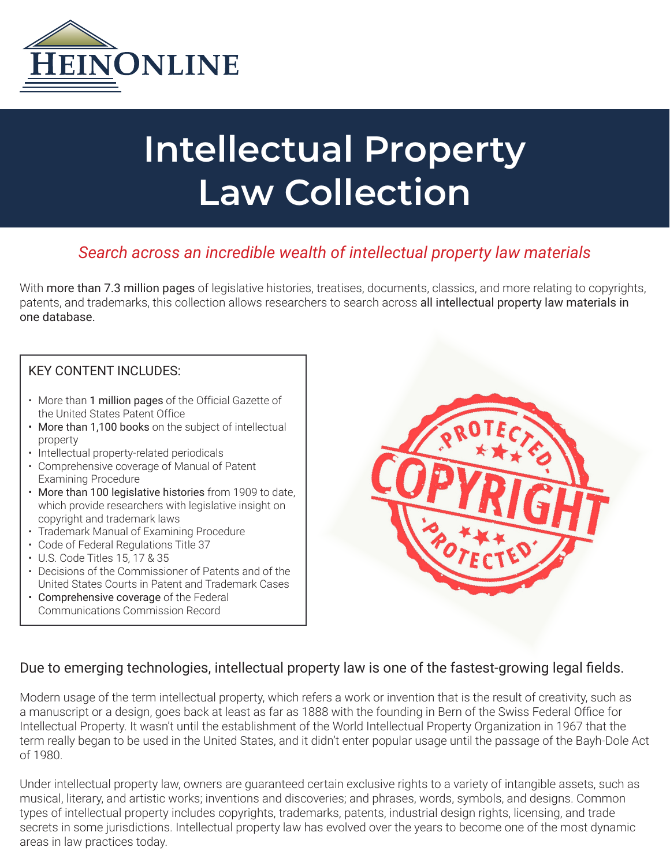

# **Intellectual Property Law Collection**

# *Search across an incredible wealth of intellectual property law materials*

With more than 7.3 million pages of legislative histories, treatises, documents, classics, and more relating to copyrights, patents, and trademarks, this collection allows researchers to search across all intellectual property law materials in one database.

#### KEY CONTENT INCLUDES:

- More than 1 million pages of the Official Gazette of the United States Patent Office
- More than 1,100 books on the subject of intellectual property
- Intellectual property-related periodicals
- Comprehensive coverage of Manual of Patent Examining Procedure
- More than 100 legislative histories from 1909 to date, which provide researchers with legislative insight on copyright and trademark laws
- Trademark Manual of Examining Procedure
- Code of Federal Regulations Title 37
- U.S. Code Titles 15, 17 & 35
- Decisions of the Commissioner of Patents and of the United States Courts in Patent and Trademark Cases
- Comprehensive coverage of the Federal Communications Commission Record



### Due to emerging technologies, intellectual property law is one of the fastest-growing legal fields.

Modern usage of the term intellectual property, which refers a work or invention that is the result of creativity, such as a manuscript or a design, goes back at least as far as 1888 with the founding in Bern of the Swiss Federal Office for Intellectual Property. It wasn't until the establishment of the World Intellectual Property Organization in 1967 that the term really began to be used in the United States, and it didn't enter popular usage until the passage of the Bayh-Dole Act of 1980.

Under intellectual property law, owners are guaranteed certain exclusive rights to a variety of intangible assets, such as musical, literary, and artistic works; inventions and discoveries; and phrases, words, symbols, and designs. Common types of intellectual property includes copyrights, trademarks, patents, industrial design rights, licensing, and trade secrets in some jurisdictions. Intellectual property law has evolved over the years to become one of the most dynamic areas in law practices today.